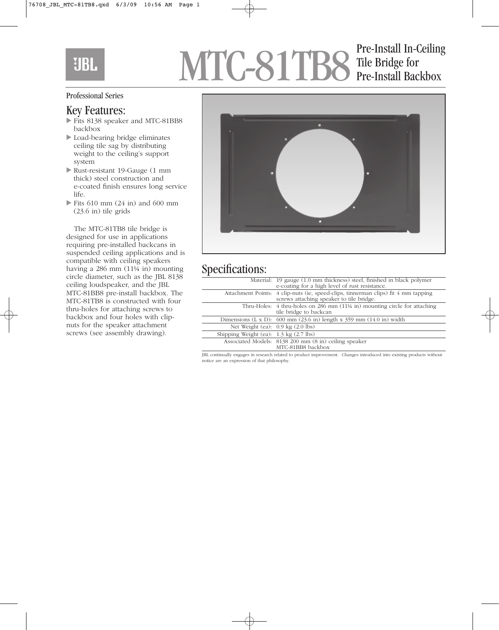# **UBL**

# MTC-81TB8 Tile Bridge for<br>Pre-Install Backbox Tile Bridge for Pre-Install Backbox

#### Professional Series

#### Key Features:

- Fits 8138 speaker and MTC-81BB8 backbox
- Load-bearing bridge eliminates ceiling tile sag by distributing weight to the ceiling's support system
- Rust-resistant 19-Gauge (1 mm thick) steel construction and e-coated finish ensures long service life.
- $\blacktriangleright$  Fits 610 mm (24 in) and 600 mm (23.6 in) tile grids

The MTC-81TB8 tile bridge is designed for use in applications requiring pre-installed backcans in suspended ceiling applications and is compatible with ceiling speakers having a 286 mm (11¼ in) mounting circle diameter, such as the JBL 8138 ceiling loudspeaker, and the JBL MTC-81BB8 pre-install backbox. The MTC-81TB8 is constructed with four thru-holes for attaching screws to backbox and four holes with clipnuts for the speaker attachment screws (see assembly drawing).



### Specifications:

|                                                  | Material: 19 gauge (1.0 mm thickness) steel, finished in black polymer<br>e-coating for a high level of rust resistance.       |
|--------------------------------------------------|--------------------------------------------------------------------------------------------------------------------------------|
|                                                  | Attachment Points: 4 clip-nuts (ie, speed-clips, tinnerman clips) fit 4 mm tapping<br>screws attaching speaker to tile bridge. |
|                                                  | Thru-Holes: $\frac{4}{3}$ thru-holes on 286 mm (11¼ in) mounting circle for attaching<br>tile bridge to backcan                |
|                                                  | Dimensions $(L \times D)$ : 600 mm $(23.6 \text{ in})$ length x 359 mm $(14.0 \text{ in})$ width                               |
| Net Weight (ea): $0.9 \text{ kg}$ (2.0 lbs)      |                                                                                                                                |
| Shipping Weight (ea): $1.3 \text{ kg}$ (2.7 lbs) |                                                                                                                                |
|                                                  | Associated Models: 8138 200 mm (8 in) ceiling speaker<br>MTC-81BB8 backbox                                                     |

JBL continually engages in research related to product improvement. Changes introduced into existing products without notice are an expression of that philosophy.